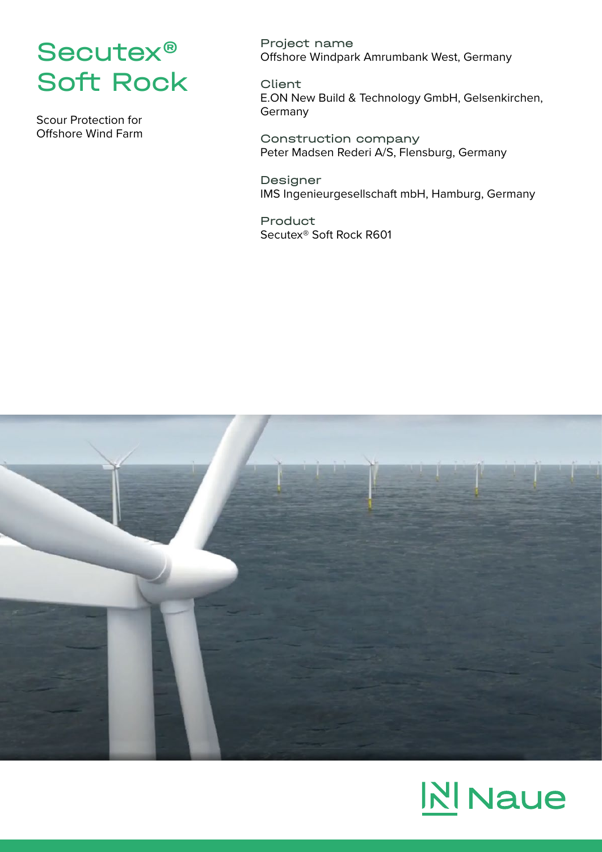

Scour Protection for Offshore Wind Farm Project name Offshore Windpark Amrumbank West, Germany

Client

E.ON New Build & Technology GmbH, Gelsenkirchen, **Germany** 

Construction company Peter Madsen Rederi A/S, Flensburg, Germany

Designer IMS Ingenieurgesellschaft mbH, Hamburg, Germany

Product Secutex® Soft Rock R601



## **NI** Naue